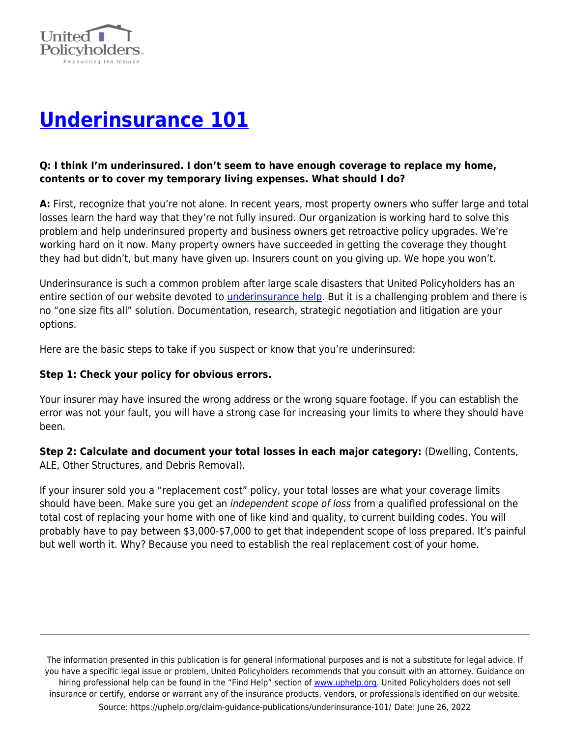

# **[Underinsurance 101](https://uphelp.org/claim-guidance-publications/underinsurance-101/)**

#### **Q: I think I'm underinsured. I don't seem to have enough coverage to replace my home, contents or to cover my temporary living expenses. What should I do?**

**A:** First, recognize that you're not alone. In recent years, most property owners who suffer large and total losses learn the hard way that they're not fully insured. Our organization is working hard to solve this problem and help underinsured property and business owners get retroactive policy upgrades. We're working hard on it now. Many property owners have succeeded in getting the coverage they thought they had but didn't, but many have given up. Insurers count on you giving up. We hope you won't.

Underinsurance is such a common problem after large scale disasters that United Policyholders has an entire section of our website devoted to *underinsurance help*. But it is a challenging problem and there is no "one size fits all" solution. Documentation, research, strategic negotiation and litigation are your options.

Here are the basic steps to take if you suspect or know that you're underinsured:

#### **Step 1: Check your policy for obvious errors.**

Your insurer may have insured the wrong address or the wrong square footage. If you can establish the error was not your fault, you will have a strong case for increasing your limits to where they should have been.

**Step 2: Calculate and document your total losses in each major category:** (Dwelling, Contents, ALE, Other Structures, and Debris Removal).

If your insurer sold you a "replacement cost" policy, your total losses are what your coverage limits should have been. Make sure you get an independent scope of loss from a qualified professional on the total cost of replacing your home with one of like kind and quality, to current building codes. You will probably have to pay between \$3,000-\$7,000 to get that independent scope of loss prepared. It's painful but well worth it. Why? Because you need to establish the real replacement cost of your home.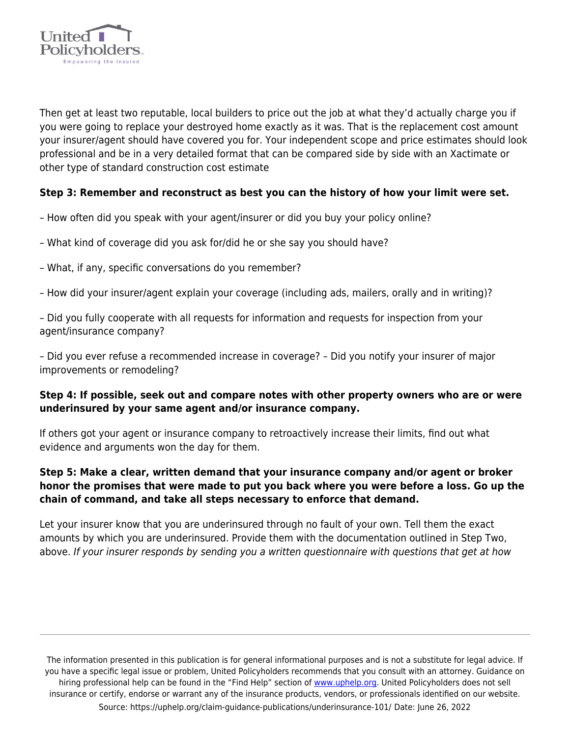

Then get at least two reputable, local builders to price out the job at what they'd actually charge you if you were going to replace your destroyed home exactly as it was. That is the replacement cost amount your insurer/agent should have covered you for. Your independent scope and price estimates should look professional and be in a very detailed format that can be compared side by side with an Xactimate or other type of standard construction cost estimate

#### **Step 3: Remember and reconstruct as best you can the history of how your limit were set.**

- How often did you speak with your agent/insurer or did you buy your policy online?
- What kind of coverage did you ask for/did he or she say you should have?
- What, if any, specific conversations do you remember?
- How did your insurer/agent explain your coverage (including ads, mailers, orally and in writing)?

– Did you fully cooperate with all requests for information and requests for inspection from your agent/insurance company?

– Did you ever refuse a recommended increase in coverage? – Did you notify your insurer of major improvements or remodeling?

#### **Step 4: If possible, seek out and compare notes with other property owners who are or were underinsured by your same agent and/or insurance company.**

If others got your agent or insurance company to retroactively increase their limits, find out what evidence and arguments won the day for them.

#### **Step 5: Make a clear, written demand that your insurance company and/or agent or broker honor the promises that were made to put you back where you were before a loss. Go up the chain of command, and take all steps necessary to enforce that demand.**

Let your insurer know that you are underinsured through no fault of your own. Tell them the exact amounts by which you are underinsured. Provide them with the documentation outlined in Step Two, above. If your insurer responds by sending you a written questionnaire with questions that get at how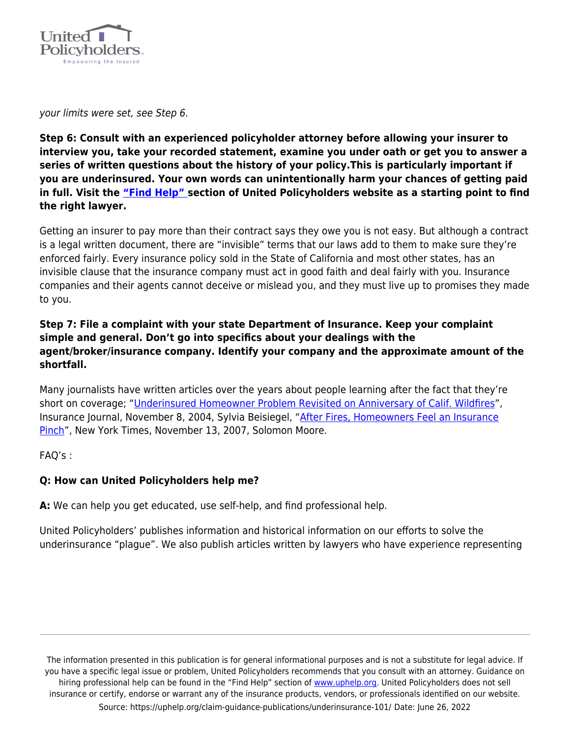

your limits were set, see Step 6.

**Step 6: Consult with an experienced policyholder attorney before allowing your insurer to interview you, take your recorded statement, examine you under oath or get you to answer a series of written questions about the history of your policy.This is particularly important if you are underinsured. Your own words can unintentionally harm your chances of getting paid in full. Visit the ["Find Help" s](https://uphelp.org/recovery/professional-help-directory/)ection of United Policyholders website as a starting point to find the right lawyer.**

Getting an insurer to pay more than their contract says they owe you is not easy. But although a contract is a legal written document, there are "invisible" terms that our laws add to them to make sure they're enforced fairly. Every insurance policy sold in the State of California and most other states, has an invisible clause that the insurance company must act in good faith and deal fairly with you. Insurance companies and their agents cannot deceive or mislead you, and they must live up to promises they made to you.

#### **Step 7: File a complaint with your state Department of Insurance. Keep your complaint simple and general. Don't go into specifics about your dealings with the agent/broker/insurance company. Identify your company and the approximate amount of the shortfall.**

Many journalists have written articles over the years about people learning after the fact that they're short on coverage; ["Underinsured Homeowner Problem Revisited on Anniversary of Calif. Wildfires"](http://www.insurancejournal.com/magazines/features/2004/11/08/49526.htm), Insurance Journal, November 8, 2004, Sylvia Beisiegel, ["After Fires, Homeowners Feel an Insurance](http://query.nytimes.com/gst/fullpage.html?res=9D0DEEDB1131F930A25752C1A9619C8B63) [Pinch](http://query.nytimes.com/gst/fullpage.html?res=9D0DEEDB1131F930A25752C1A9619C8B63)", New York Times, November 13, 2007, Solomon Moore.

FAQ's :

#### **Q: How can United Policyholders help me?**

**A:** We can help you get educated, use self-help, and find professional help.

United Policyholders' publishes information and historical information on our efforts to solve the underinsurance "plague". We also publish articles written by lawyers who have experience representing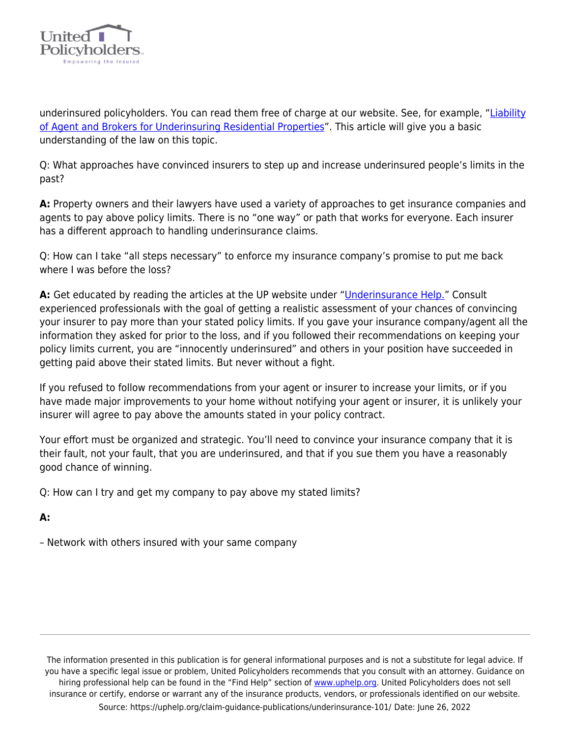

underinsured policyholders. You can read them free of charge at our website. See, for example, "[Liability](https://uphelp.org/wp-content/uploads/2020/10/underinsurance_article.pdf) [of Agent and Brokers for Underinsuring Residential Properties"](https://uphelp.org/wp-content/uploads/2020/10/underinsurance_article.pdf). This article will give you a basic understanding of the law on this topic.

Q: What approaches have convinced insurers to step up and increase underinsured people's limits in the past?

**A:** Property owners and their lawyers have used a variety of approaches to get insurance companies and agents to pay above policy limits. There is no "one way" or path that works for everyone. Each insurer has a different approach to handling underinsurance claims.

Q: How can I take "all steps necessary" to enforce my insurance company's promise to put me back where I was before the loss?

**A:** Get educated by reading the articles at the UP website under "[Underinsurance Help."](https://uphelp.org/underinsurance-help-were-you-lulled-into-a-false-sense-of-security-or-did-you-intentionally-underinsure-your-biggest-asset/) Consult experienced professionals with the goal of getting a realistic assessment of your chances of convincing your insurer to pay more than your stated policy limits. If you gave your insurance company/agent all the information they asked for prior to the loss, and if you followed their recommendations on keeping your policy limits current, you are "innocently underinsured" and others in your position have succeeded in getting paid above their stated limits. But never without a fight.

If you refused to follow recommendations from your agent or insurer to increase your limits, or if you have made major improvements to your home without notifying your agent or insurer, it is unlikely your insurer will agree to pay above the amounts stated in your policy contract.

Your effort must be organized and strategic. You'll need to convince your insurance company that it is their fault, not your fault, that you are underinsured, and that if you sue them you have a reasonably good chance of winning.

Q: How can I try and get my company to pay above my stated limits?

## **A:**

– Network with others insured with your same company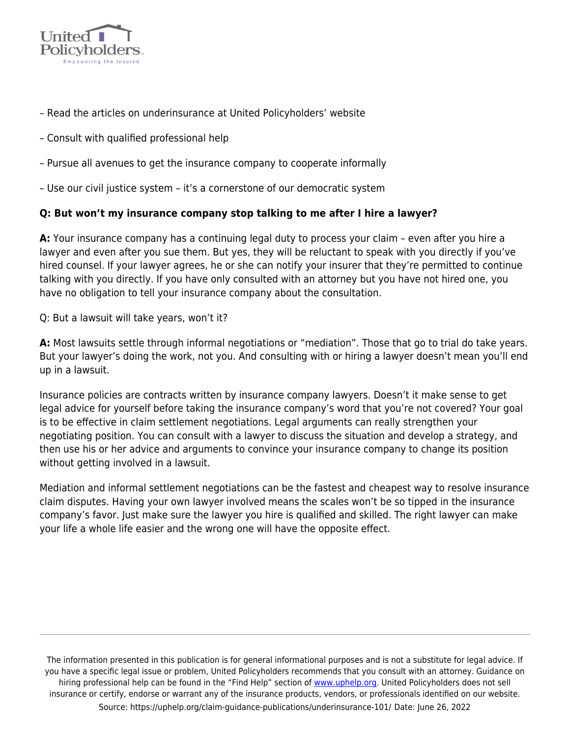

- Read the articles on underinsurance at United Policyholders' website
- Consult with qualified professional help
- Pursue all avenues to get the insurance company to cooperate informally
- Use our civil justice system it's a cornerstone of our democratic system

#### **Q: But won't my insurance company stop talking to me after I hire a lawyer?**

**A:** Your insurance company has a continuing legal duty to process your claim – even after you hire a lawyer and even after you sue them. But yes, they will be reluctant to speak with you directly if you've hired counsel. If your lawyer agrees, he or she can notify your insurer that they're permitted to continue talking with you directly. If you have only consulted with an attorney but you have not hired one, you have no obligation to tell your insurance company about the consultation.

Q: But a lawsuit will take years, won't it?

**A:** Most lawsuits settle through informal negotiations or "mediation". Those that go to trial do take years. But your lawyer's doing the work, not you. And consulting with or hiring a lawyer doesn't mean you'll end up in a lawsuit.

Insurance policies are contracts written by insurance company lawyers. Doesn't it make sense to get legal advice for yourself before taking the insurance company's word that you're not covered? Your goal is to be effective in claim settlement negotiations. Legal arguments can really strengthen your negotiating position. You can consult with a lawyer to discuss the situation and develop a strategy, and then use his or her advice and arguments to convince your insurance company to change its position without getting involved in a lawsuit.

Mediation and informal settlement negotiations can be the fastest and cheapest way to resolve insurance claim disputes. Having your own lawyer involved means the scales won't be so tipped in the insurance company's favor. Just make sure the lawyer you hire is qualified and skilled. The right lawyer can make your life a whole life easier and the wrong one will have the opposite effect.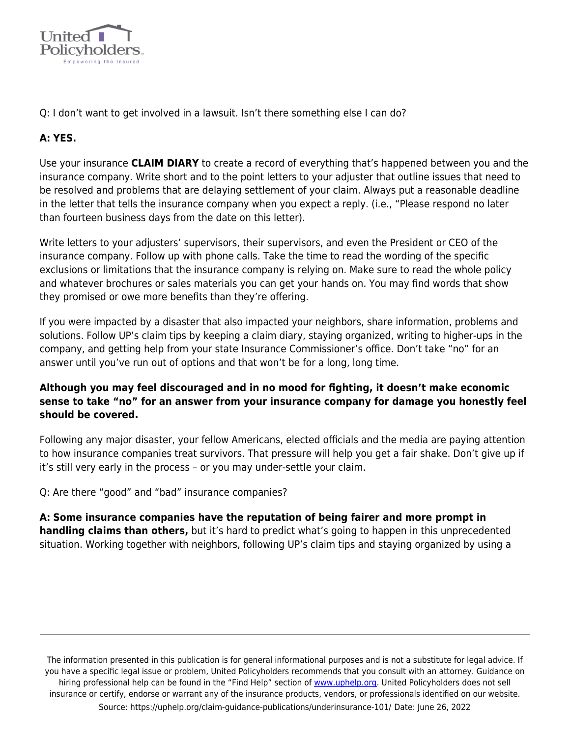

Q: I don't want to get involved in a lawsuit. Isn't there something else I can do?

# **A: YES.**

Use your insurance **CLAIM DIARY** to create a record of everything that's happened between you and the insurance company. Write short and to the point letters to your adjuster that outline issues that need to be resolved and problems that are delaying settlement of your claim. Always put a reasonable deadline in the letter that tells the insurance company when you expect a reply. (i.e., "Please respond no later than fourteen business days from the date on this letter).

Write letters to your adjusters' supervisors, their supervisors, and even the President or CEO of the insurance company. Follow up with phone calls. Take the time to read the wording of the specific exclusions or limitations that the insurance company is relying on. Make sure to read the whole policy and whatever brochures or sales materials you can get your hands on. You may find words that show they promised or owe more benefits than they're offering.

If you were impacted by a disaster that also impacted your neighbors, share information, problems and solutions. Follow UP's claim tips by keeping a claim diary, staying organized, writing to higher-ups in the company, and getting help from your state Insurance Commissioner's office. Don't take "no" for an answer until you've run out of options and that won't be for a long, long time.

## **Although you may feel discouraged and in no mood for fighting, it doesn't make economic sense to take "no" for an answer from your insurance company for damage you honestly feel should be covered.**

Following any major disaster, your fellow Americans, elected officials and the media are paying attention to how insurance companies treat survivors. That pressure will help you get a fair shake. Don't give up if it's still very early in the process – or you may under-settle your claim.

Q: Are there "good" and "bad" insurance companies?

**A: Some insurance companies have the reputation of being fairer and more prompt in handling claims than others,** but it's hard to predict what's going to happen in this unprecedented situation. Working together with neighbors, following UP's claim tips and staying organized by using a